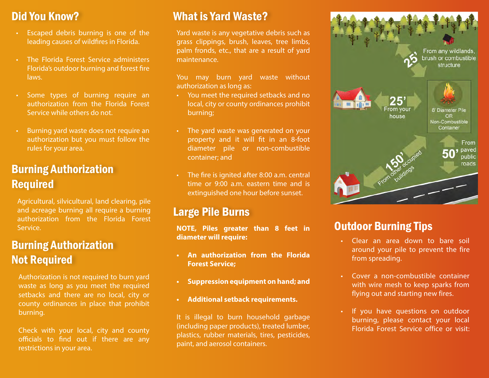## Did You Know?

- Escaped debris burning is one of the leading causes of wildfires in Florida.
- The Florida Forest Service administers Florida's outdoor burning and forest fire laws.
- Some types of burning require an authorization from the Florida Forest Service while others do not.
- Burning yard waste does not require an authorization but you must follow the rules for your area.

## Burning Authorization Required

 Agricultural, silvicultural, land clearing, pile and acreage burning all require a burning authorization from the Florida Forest Service.

## Burning Authorization Not Required

 Authorization is not required to burn yard waste as long as you meet the required setbacks and there are no local, city or county ordinances in place that prohibit burning.

 Check with your local, city and county officials to find out if there are any restrictions in your area.

## What is Yard Waste?

 Yard waste is any vegetative debris such as grass clippings, brush, leaves, tree limbs, palm fronds, etc., that are a result of yard maintenance.

 You may burn yard waste without authorization as long as:

- • You meet the required setbacks and no local, city or county ordinances prohibit burning;
- The yard waste was generated on your property and it will fit in an 8-foot diameter pile or non-combustible container; and
- The fire is ignited after 8:00 a.m. central time or 9:00 a.m. eastern time and is extinguished one hour before sunset.

#### Large Pile Burns

**NOTE, Piles greater than 8 feet in diameter will require:** 

- **• An authorization from the Florida Forest Service;**
- **• Suppression equipment on hand; and**
- **• Additional setback requirements.**

 It is illegal to burn household garbage (including paper products), treated lumber, plastics, rubber materials, tires, pesticides, paint, and aerosol containers.



#### Outdoor Burning Tips

- Clear an area down to bare soil • Clear an area down to bare soil<br>around your pile to prevent the fire from spreading.
- Cover a non-combustible container with wire mesh to keep sparks from flying out and starting new fires.
- If you have questions on outdoor burning, please contact your local Florida Forest Service office or visit: